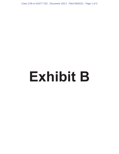Case 2:09-cv-01677-TSZ Document 193-2 Filed 09/02/21 Page 1 of 3

# **Exhibit B**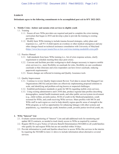# **Exhibit B**

## **Defendants agree to the following commitments to be accomplished post exit in SFY 2022-2023.**

### **1. Mobile Crisis—bolster and sustain crisis services to eligible youth**

- 1.1. Training
	- 1.1.1. Ensure all new WISe providers are required and paid to complete the crisis training curriculum that began in 2018 and develop a plan to provide the training to existing providers.
	- 1.1.2. Modify basic WISe training to include trauma-focused strategies, safety plans and responses (i.e., call 911 if child reports an overdose or other medical emergency) and any other changes based on technical assistance consultation with University of Maryland (https://www.hca.wa.gov/assets/free-or-low-cost/wise-training-module06-crisis.pdf).
- 1.2. Practice Manual
	- 1.2.1. Add standards from basic WISe training (i.e., list of crisis response actions, clarify requirement to schedule meeting three days post-crisis).
	- 1.2.2. Convene and facilitate provider workgroup to draft changes necessary to improve mobile crisis services (i.e., more flexibility on caseloads for roles, flexibility on care coordinator caseloads so that clinicians and crisis responders can have lower caseloads, reducing paperwork requirements)
	- 1.2.3. Ensure changes are reflected in training and Quality Assurance tools
- 1.3. Quality Improvement
	- 1.3.1. Continue to review Quality Improvement Review Tool data to ensure that Managed Care Organizations (MCOs) and providers are effectively implementing proposed solutions to scale, and identifying and problem-solving known or suspected challenges.
	- 1.3.2. Establish performance standards or goals for MCOs regarding mobile crisis services.
	- 1.3.3. Using existing administrative and CANS data, produce regional data profiles describing demographics, mental health treatment needs, and other public service/system involvement (e.g., child welfare, juvenile justice, SUD) of youth in the Medicaid population, youth screened for WISe, and youth receiving WISe services. Share profiles with MCOs and WISe staff in each region as a tool to help identify region-specific areas of strength in the WISe program, as well as opportunities for enhancing linkages with other systems and populations, e.g. transition-age youth, homeless youth, juvenile justice-involved youth, etc.

# **2. WISe "Interest" List**

- 2.1. Evaluate current monitoring of "Interest" Lists and add additional tools for monitoring and update MCO contracts, as needed to track timely access to WISe as required by contract.
- 2.2. Require MCOs to give Notice of Adverse Benefit Determination (NOABD) to all youth/families who qualify for and request WISe but are not enrolled within 10 days.
- 2.3. Provide information to youth and families about how to access WISe-like services in the interim by requiring the NOABD in item 2.2 above to include information about alternative covered services.